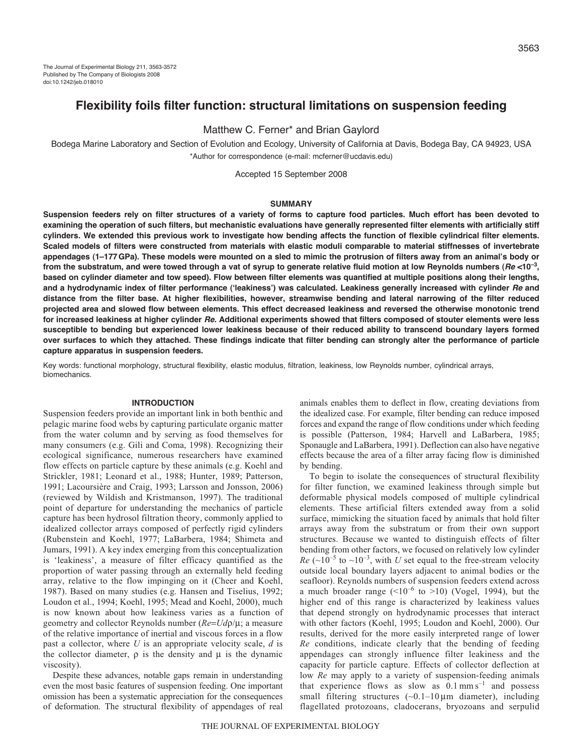Matthew C. Ferner\* and Brian Gaylord

Bodega Marine Laboratory and Section of Evolution and Ecology, University of California at Davis, Bodega Bay, CA 94923, USA \*Author for correspondence (e-mail: mcferner@ucdavis.edu)

Accepted 15 September 2008

## **SUMMARY**

**Suspension feeders rely on filter structures of a variety of forms to capture food particles. Much effort has been devoted to examining the operation of such filters, but mechanistic evaluations have generally represented filter elements with artificially stiff cylinders. We extended this previous work to investigate how bending affects the function of flexible cylindrical filter elements. Scaled models of filters were constructed from materials with elastic moduli comparable to material stiffnesses of invertebrate appendages (1–177GPa). These models were mounted on a sled to mimic the protrusion of filters away from an animal's body or from the substratum, and were towed through a vat of syrup to generate relative fluid motion at low Reynolds numbers (***Re* **<10–3, based on cylinder diameter and tow speed). Flow between filter elements was quantified at multiple positions along their lengths, and a hydrodynamic index of filter performance (ʻleakiness') was calculated. Leakiness generally increased with cylinder** *Re* **and distance from the filter base. At higher flexibilities, however, streamwise bending and lateral narrowing of the filter reduced projected area and slowed flow between elements. This effect decreased leakiness and reversed the otherwise monotonic trend for increased leakiness at higher cylinder** *Re***. Additional experiments showed that filters composed of stouter elements were less susceptible to bending but experienced lower leakiness because of their reduced ability to transcend boundary layers formed over surfaces to which they attached. These findings indicate that filter bending can strongly alter the performance of particle capture apparatus in suspension feeders.**

Key words: functional morphology, structural flexibility, elastic modulus, filtration, leakiness, low Reynolds number, cylindrical arrays, biomechanics.

## **INTRODUCTION**

Suspension feeders provide an important link in both benthic and pelagic marine food webs by capturing particulate organic matter from the water column and by serving as food themselves for many consumers (e.g. Gili and Coma, 1998). Recognizing their ecological significance, numerous researchers have examined flow effects on particle capture by these animals (e.g. Koehl and Strickler, 1981; Leonard et al., 1988; Hunter, 1989; Patterson, 1991; Lacoursière and Craig, 1993; Larsson and Jonsson, 2006) (reviewed by Wildish and Kristmanson, 1997). The traditional point of departure for understanding the mechanics of particle capture has been hydrosol filtration theory, commonly applied to idealized collector arrays composed of perfectly rigid cylinders (Rubenstein and Koehl, 1977; LaBarbera, 1984; Shimeta and Jumars, 1991). A key index emerging from this conceptualization is 'leakiness', a measure of filter efficacy quantified as the proportion of water passing through an externally held feeding array, relative to the flow impinging on it (Cheer and Koehl, 1987). Based on many studies (e.g. Hansen and Tiselius, 1992; Loudon et al., 1994; Koehl, 1995; Mead and Koehl, 2000), much is now known about how leakiness varies as a function of geometry and collector Reynolds number (*Re*=*Ud*ρ/μ; a measure of the relative importance of inertial and viscous forces in a flow past a collector, where *U* is an appropriate velocity scale, *d* is the collector diameter,  $\rho$  is the density and  $\mu$  is the dynamic viscosity).

Despite these advances, notable gaps remain in understanding even the most basic features of suspension feeding. One important omission has been a systematic appreciation for the consequences of deformation. The structural flexibility of appendages of real

animals enables them to deflect in flow, creating deviations from the idealized case. For example, filter bending can reduce imposed forces and expand the range of flow conditions under which feeding is possible (Patterson, 1984; Harvell and LaBarbera, 1985; Sponaugle and LaBarbera, 1991). Deflection can also have negative effects because the area of a filter array facing flow is diminished by bending.

To begin to isolate the consequences of structural flexibility for filter function, we examined leakiness through simple but deformable physical models composed of multiple cylindrical elements. These artificial filters extended away from a solid surface, mimicking the situation faced by animals that hold filter arrays away from the substratum or from their own support structures. Because we wanted to distinguish effects of filter bending from other factors, we focused on relatively low cylinder *Re* ( $\sim$ 10<sup>-5</sup> to  $\sim$ 10<sup>-3</sup>, with *U* set equal to the free-stream velocity outside local boundary layers adjacent to animal bodies or the seafloor). Reynolds numbers of suspension feeders extend across a much broader range  $(10^{-6}$  to  $>10$ ) (Vogel, 1994), but the higher end of this range is characterized by leakiness values that depend strongly on hydrodynamic processes that interact with other factors (Koehl, 1995; Loudon and Koehl, 2000). Our results, derived for the more easily interpreted range of lower *Re* conditions, indicate clearly that the bending of feeding appendages can strongly influence filter leakiness and the capacity for particle capture. Effects of collector deflection at low *Re* may apply to a variety of suspension-feeding animals that experience flows as slow as  $0.1 \text{ mm s}^{-1}$  and possess small filtering structures  $({\sim}0.1-10 \,\mu m$  diameter), including flagellated protozoans, cladocerans, bryozoans and serpulid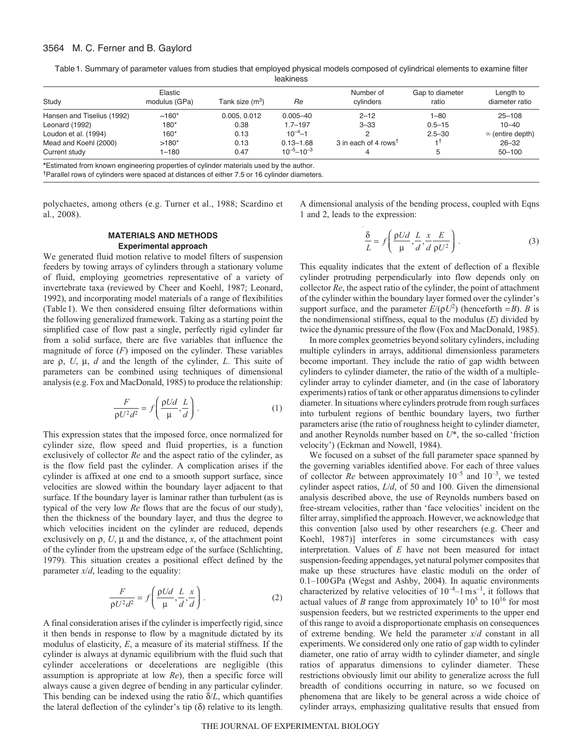| Table 1. Summary of parameter values from studies that employed physical models composed of cylindrical elements to examine filter |  |           |  |  |  |
|------------------------------------------------------------------------------------------------------------------------------------|--|-----------|--|--|--|
|                                                                                                                                    |  | leakiness |  |  |  |

| Study                      | Elastic<br>modulus (GPa) | Tank size $(m^3)$ | Re                  | Number of<br>cylinders           | Gap to diameter<br>ratio | Length to<br>diameter ratio |
|----------------------------|--------------------------|-------------------|---------------------|----------------------------------|--------------------------|-----------------------------|
| Hansen and Tiselius (1992) | $~160*$                  | 0.005, 0.012      | $0.005 - 40$        | $2 - 12$                         | $1 - 80$                 | $25 - 108$                  |
| Leonard (1992)             | 180*                     | 0.38              | $1.7 - 197$         | $3 - 33$                         | $0.5 - 15$               | $10 - 40$                   |
| Loudon et al. (1994)       | $160*$                   | 0.13              | $10^{-4} - 1$       |                                  | $2.5 - 30$               | $\infty$ (entire depth)     |
| Mead and Koehl (2000)      | $>180*$                  | 0.13              | $0.13 - 1.68$       | 3 in each of 4 rows <sup>†</sup> |                          | $26 - 32$                   |
| Current study              | $1 - 180$                | 0.47              | $10^{-5} - 10^{-3}$ |                                  | 5                        | $50 - 100$                  |

**\***Estimated from known engineering properties of cylinder materials used by the author.

†Parallel rows of cylinders were spaced at distances of either 7.5 or 16 cylinder diameters.

polychaetes, among others (e.g. Turner et al., 1988; Scardino et al., 2008).

## **MATERIALS AND METHODS Experimental approach**

We generated fluid motion relative to model filters of suspension feeders by towing arrays of cylinders through a stationary volume of fluid, employing geometries representative of a variety of invertebrate taxa (reviewed by Cheer and Koehl, 1987; Leonard, 1992), and incorporating model materials of a range of flexibilities (Table1). We then considered ensuing filter deformations within the following generalized framework. Taking as a starting point the simplified case of flow past a single, perfectly rigid cylinder far from a solid surface, there are five variables that influence the magnitude of force  $(F)$  imposed on the cylinder. These variables are ρ, *U*, μ, *d* and the length of the cylinder, *L*. This suite of parameters can be combined using techniques of dimensional analysis (e.g. Fox and MacDonald, 1985) to produce the relationship:

$$
\frac{F}{\rho U^2 d^2} = f\left(\frac{\rho U d}{\mu}, \frac{L}{d}\right). \tag{1}
$$

This expression states that the imposed force, once normalized for cylinder size, flow speed and fluid properties, is a function exclusively of collector *Re* and the aspect ratio of the cylinder, as is the flow field past the cylinder. A complication arises if the cylinder is affixed at one end to a smooth support surface, since velocities are slowed within the boundary layer adjacent to that surface. If the boundary layer is laminar rather than turbulent (as is typical of the very low *Re* flows that are the focus of our study), then the thickness of the boundary layer, and thus the degree to which velocities incident on the cylinder are reduced, depends exclusively on  $\rho$ ,  $U$ ,  $\mu$  and the distance, *x*, of the attachment point of the cylinder from the upstream edge of the surface (Schlichting, 1979). This situation creates a positional effect defined by the parameter  $x/d$ , leading to the equality:

$$
\frac{F}{\rho U^2 d^2} = f\left(\frac{\rho U d}{\mu}, \frac{L}{d}, \frac{x}{d}\right). \tag{2}
$$

A final consideration arises if the cylinder is imperfectly rigid, since it then bends in response to flow by a magnitude dictated by its modulus of elasticity, *E*, a measure of its material stiffness. If the cylinder is always at dynamic equilibrium with the fluid such that cylinder accelerations or decelerations are negligible (this assumption is appropriate at low *Re*), then a specific force will always cause a given degree of bending in any particular cylinder. This bending can be indexed using the ratio  $\delta/L$ , which quantifies the lateral deflection of the cylinder's tip  $(\delta)$  relative to its length. A dimensional analysis of the bending process, coupled with Eqns 1 and 2, leads to the expression:

$$
\frac{\delta}{L} = f\left(\frac{\rho Ud}{\mu}, \frac{L}{d}, \frac{x}{d} \frac{E}{\rho U^2}\right). \tag{3}
$$

This equality indicates that the extent of deflection of a flexible cylinder protruding perpendicularly into flow depends only on collector *Re*, the aspect ratio of the cylinder, the point of attachment of the cylinder within the boundary layer formed over the cylinder's support surface, and the parameter  $E/(\rho U^2)$  (henceforth = *B*). *B* is the nondimensional stiffness, equal to the modulus (*E*) divided by twice the dynamic pressure of the flow (Fox and MacDonald, 1985).

In more complex geometries beyond solitary cylinders, including multiple cylinders in arrays, additional dimensionless parameters become important. They include the ratio of gap width between cylinders to cylinder diameter, the ratio of the width of a multiplecylinder array to cylinder diameter, and (in the case of laboratory experiments) ratios of tank or other apparatus dimensions to cylinder diameter. In situations where cylinders protrude from rough surfaces into turbulent regions of benthic boundary layers, two further parameters arise (the ratio of roughness height to cylinder diameter, and another Reynolds number based on *U*\*, the so-called 'friction velocity') (Eckman and Nowell, 1984).

We focused on a subset of the full parameter space spanned by the governing variables identified above. For each of three values of collector  $Re$  between approximately  $10^{-5}$  and  $10^{-3}$ , we tested cylinder aspect ratios, *L*/*d*, of 50 and 100. Given the dimensional analysis described above, the use of Reynolds numbers based on free-stream velocities, rather than 'face velocities' incident on the filter array, simplified the approach. However, we acknowledge that this convention [also used by other researchers (e.g. Cheer and Koehl, 1987)] interferes in some circumstances with easy interpretation. Values of *E* have not been measured for intact suspension-feeding appendages, yet natural polymer composites that make up these structures have elastic moduli on the order of 0.1–100GPa (Wegst and Ashby, 2004). In aquatic environments characterized by relative velocities of  $10^{-4}$ –1 ms<sup>-1</sup>, it follows that actual values of *B* range from approximately  $10^5$  to  $10^{16}$  for most suspension feeders, but we restricted experiments to the upper end of this range to avoid a disproportionate emphasis on consequences of extreme bending. We held the parameter *x*/*d* constant in all experiments. We considered only one ratio of gap width to cylinder diameter, one ratio of array width to cylinder diameter, and single ratios of apparatus dimensions to cylinder diameter. These restrictions obviously limit our ability to generalize across the full breadth of conditions occurring in nature, so we focused on phenomena that are likely to be general across a wide choice of cylinder arrays, emphasizing qualitative results that ensued from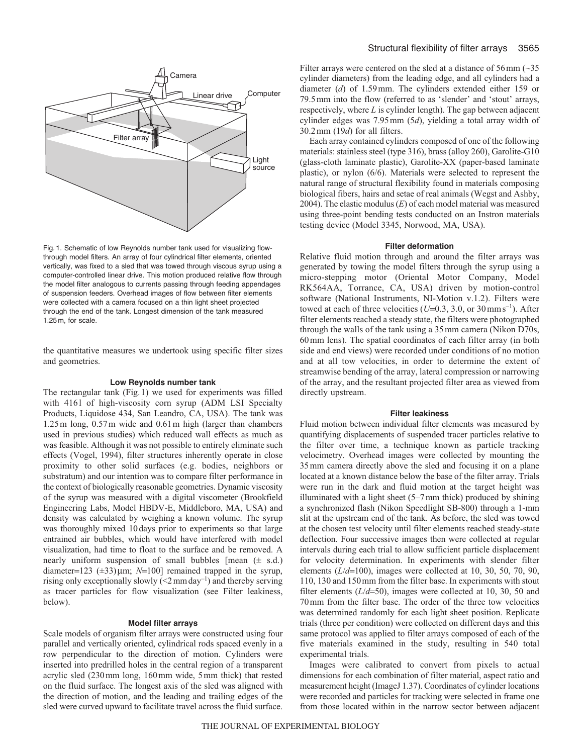

Fig. 1. Schematic of low Reynolds number tank used for visualizing flowthrough model filters. An array of four cylindrical filter elements, oriented vertically, was fixed to a sled that was towed through viscous syrup using a computer-controlled linear drive. This motion produced relative flow through the model filter analogous to currents passing through feeding appendages of suspension feeders. Overhead images of flow between filter elements were collected with a camera focused on a thin light sheet projected through the end of the tank. Longest dimension of the tank measured 1.25 m, for scale.

the quantitative measures we undertook using specific filter sizes and geometries.

## **Low Reynolds number tank**

The rectangular tank (Fig.1) we used for experiments was filled with 4161 of high-viscosity corn syrup (ADM LSI Specialty Products, Liquidose 434, San Leandro, CA, USA). The tank was 1.25m long, 0.57m wide and 0.61m high (larger than chambers used in previous studies) which reduced wall effects as much as was feasible. Although it was not possible to entirely eliminate such effects (Vogel, 1994), filter structures inherently operate in close proximity to other solid surfaces (e.g. bodies, neighbors or substratum) and our intention was to compare filter performance in the context of biologically reasonable geometries. Dynamic viscosity of the syrup was measured with a digital viscometer (Brookfield Engineering Labs, Model HBDV-E, Middleboro, MA, USA) and density was calculated by weighing a known volume. The syrup was thoroughly mixed 10days prior to experiments so that large entrained air bubbles, which would have interfered with model visualization, had time to float to the surface and be removed. A nearly uniform suspension of small bubbles [mean  $(\pm s.d.)$ diameter=123 (±33)μm; *N*=100] remained trapped in the syrup, rising only exceptionally slowly  $(\leq 2$  mm day<sup>-1</sup>) and thereby serving as tracer particles for flow visualization (see Filter leakiness, below).

### **Model filter arrays**

Scale models of organism filter arrays were constructed using four parallel and vertically oriented, cylindrical rods spaced evenly in a row perpendicular to the direction of motion. Cylinders were inserted into predrilled holes in the central region of a transparent acrylic sled (230mm long, 160mm wide, 5mm thick) that rested on the fluid surface. The longest axis of the sled was aligned with the direction of motion, and the leading and trailing edges of the sled were curved upward to facilitate travel across the fluid surface. Filter arrays were centered on the sled at a distance of  $56 \text{ mm}$  ( $\sim$ 35) cylinder diameters) from the leading edge, and all cylinders had a diameter (*d*) of 1.59mm. The cylinders extended either 159 or 79.5mm into the flow (referred to as 'slender' and 'stout' arrays, respectively, where *L* is cylinder length). The gap between adjacent cylinder edges was 7.95mm (5*d*), yielding a total array width of 30.2mm (19*d*) for all filters.

Each array contained cylinders composed of one of the following materials: stainless steel (type 316), brass (alloy 260), Garolite-G10 (glass-cloth laminate plastic), Garolite-XX (paper-based laminate plastic), or nylon (6/6). Materials were selected to represent the natural range of structural flexibility found in materials composing biological fibers, hairs and setae of real animals (Wegst and Ashby, 2004). The elastic modulus (*E*) of each model material was measured using three-point bending tests conducted on an Instron materials testing device (Model 3345, Norwood, MA, USA).

## **Filter deformation**

Relative fluid motion through and around the filter arrays was generated by towing the model filters through the syrup using a micro-stepping motor (Oriental Motor Company, Model RK564AA, Torrance, CA, USA) driven by motion-control software (National Instruments, NI-Motion v.1.2). Filters were towed at each of three velocities ( $U=0.3, 3.0,$  or  $30 \text{ mm s}^{-1}$ ). After filter elements reached a steady state, the filters were photographed through the walls of the tank using a 35mm camera (Nikon D70s, 60mm lens). The spatial coordinates of each filter array (in both side and end views) were recorded under conditions of no motion and at all tow velocities, in order to determine the extent of streamwise bending of the array, lateral compression or narrowing of the array, and the resultant projected filter area as viewed from directly upstream.

# **Filter leakiness**

Fluid motion between individual filter elements was measured by quantifying displacements of suspended tracer particles relative to the filter over time, a technique known as particle tracking velocimetry. Overhead images were collected by mounting the 35mm camera directly above the sled and focusing it on a plane located at a known distance below the base of the filter array. Trials were run in the dark and fluid motion at the target height was illuminated with a light sheet (5–7mm thick) produced by shining a synchronized flash (Nikon Speedlight SB-800) through a 1-mm slit at the upstream end of the tank. As before, the sled was towed at the chosen test velocity until filter elements reached steady-state deflection. Four successive images then were collected at regular intervals during each trial to allow sufficient particle displacement for velocity determination. In experiments with slender filter elements (*L*/*d*=100), images were collected at 10, 30, 50, 70, 90, 110, 130 and 150mm from the filter base. In experiments with stout filter elements (*L*/*d*=50), images were collected at 10, 30, 50 and 70mm from the filter base. The order of the three tow velocities was determined randomly for each light sheet position. Replicate trials (three per condition) were collected on different days and this same protocol was applied to filter arrays composed of each of the five materials examined in the study, resulting in 540 total experimental trials.

Images were calibrated to convert from pixels to actual dimensions for each combination of filter material, aspect ratio and measurement height (ImageJ 1.37). Coordinates of cylinder locations were recorded and particles for tracking were selected in frame one from those located within in the narrow sector between adjacent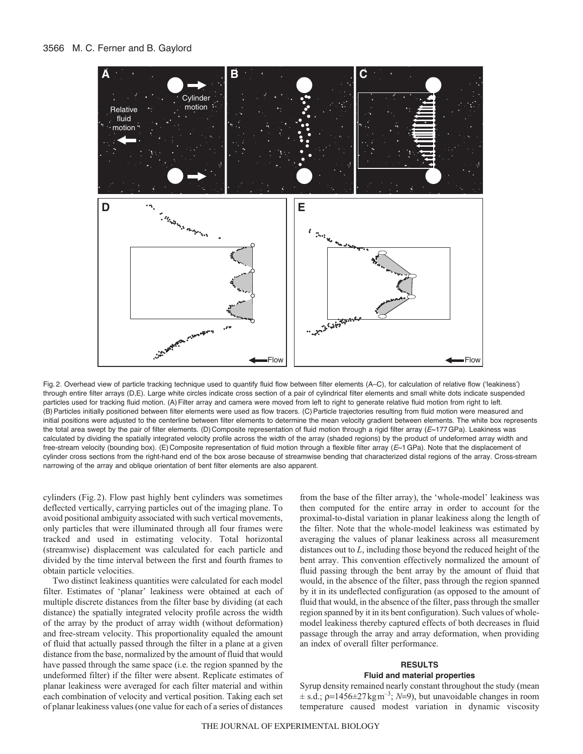

Fig. 2. Overhead view of particle tracking technique used to quantify fluid flow between filter elements (A–C), for calculation of relative flow (ʻleakiness') through entire filter arrays (D,E). Large white circles indicate cross section of a pair of cylindrical filter elements and small white dots indicate suspended particles used for tracking fluid motion. (A) Filter array and camera were moved from left to right to generate relative fluid motion from right to left. (B) Particles initially positioned between filter elements were used as flow tracers. (C) Particle trajectories resulting from fluid motion were measured and initial positions were adjusted to the centerline between filter elements to determine the mean velocity gradient between elements. The white box represents the total area swept by the pair of filter elements. (D) Composite representation of fluid motion through a rigid filter array (E~177 GPa). Leakiness was calculated by dividing the spatially integrated velocity profile across the width of the array (shaded regions) by the product of undeformed array width and free-stream velocity (bounding box). (E) Composite representation of fluid motion through a flexible filter array (E~1 GPa). Note that the displacement of cylinder cross sections from the right-hand end of the box arose because of streamwise bending that characterized distal regions of the array. Cross-stream narrowing of the array and oblique orientation of bent filter elements are also apparent.

cylinders (Fig.2). Flow past highly bent cylinders was sometimes deflected vertically, carrying particles out of the imaging plane. To avoid positional ambiguity associated with such vertical movements, only particles that were illuminated through all four frames were tracked and used in estimating velocity. Total horizontal (streamwise) displacement was calculated for each particle and divided by the time interval between the first and fourth frames to obtain particle velocities.

Two distinct leakiness quantities were calculated for each model filter. Estimates of 'planar' leakiness were obtained at each of multiple discrete distances from the filter base by dividing (at each distance) the spatially integrated velocity profile across the width of the array by the product of array width (without deformation) and free-stream velocity. This proportionality equaled the amount of fluid that actually passed through the filter in a plane at a given distance from the base, normalized by the amount of fluid that would have passed through the same space (i.e. the region spanned by the undeformed filter) if the filter were absent. Replicate estimates of planar leakiness were averaged for each filter material and within each combination of velocity and vertical position. Taking each set of planar leakiness values (one value for each of a series of distances

from the base of the filter array), the 'whole-model' leakiness was then computed for the entire array in order to account for the proximal-to-distal variation in planar leakiness along the length of the filter. Note that the whole-model leakiness was estimated by averaging the values of planar leakiness across all measurement distances out to *L*, including those beyond the reduced height of the bent array. This convention effectively normalized the amount of fluid passing through the bent array by the amount of fluid that would, in the absence of the filter, pass through the region spanned by it in its undeflected configuration (as opposed to the amount of fluid that would, in the absence of the filter, pass through the smaller region spanned by it in its bent configuration). Such values of wholemodel leakiness thereby captured effects of both decreases in fluid passage through the array and array deformation, when providing an index of overall filter performance.

# **RESULTS**

## **Fluid and material properties**

Syrup density remained nearly constant throughout the study (mean  $\pm$  s.d.;  $\rho$ =1456 $\pm$ 27 kgm<sup>-3</sup>; *N*=9), but unavoidable changes in room temperature caused modest variation in dynamic viscosity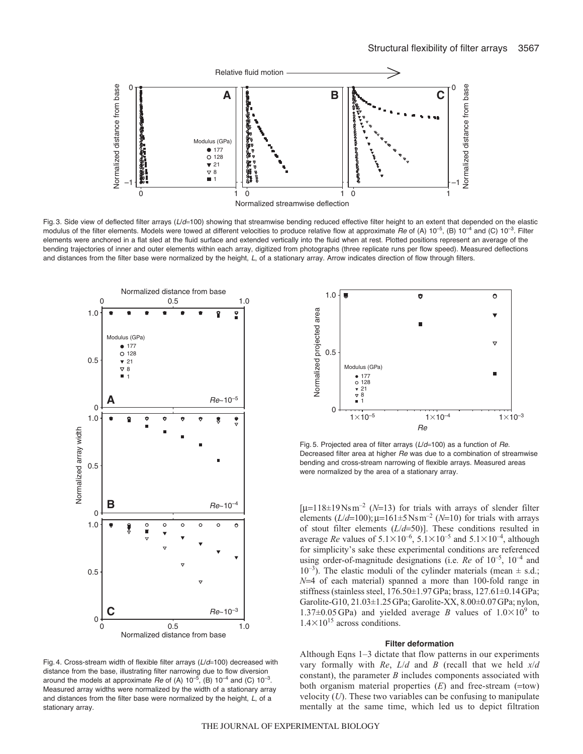

Fig. 3. Side view of deflected filter arrays ( $L/d=100$ ) showing that streamwise bending reduced effective filter height to an extent that depended on the elastic modulus of the filter elements. Models were towed at different velocities to produce relative flow at approximate  $Be$  of (A) 10<sup>-5</sup>, (B) 10<sup>-4</sup> and (C) 10<sup>-3</sup>. Filter elements were anchored in a flat sled at the fluid surface and extended vertically into the fluid when at rest. Plotted positions represent an average of the bending trajectories of inner and outer elements within each array, digitized from photographs (three replicate runs per flow speed). Measured deflections and distances from the filter base were normalized by the height, L, of a stationary array. Arrow indicates direction of flow through filters.



Fig. 4. Cross-stream width of flexible filter arrays ( $L/d=100$ ) decreased with distance from the base, illustrating filter narrowing due to flow diversion around the models at approximate  $\text{Re of (A) } 10^{-5}$ , (B)  $10^{-4}$  and (C)  $10^{-3}$ . Measured array widths were normalized by the width of a stationary array and distances from the filter base were normalized by the height, L, of a stationary array.



Fig. 5. Projected area of filter arrays ( $L/d=100$ ) as a function of Re. Decreased filter area at higher Re was due to a combination of streamwise bending and cross-stream narrowing of flexible arrays. Measured areas were normalized by the area of a stationary array.

 $[\mu=118\pm19$  Nsm<sup>-2</sup> (*N*=13) for trials with arrays of slender filter elements  $(L/d=100)$ ;  $\mu=161\pm5$  Ns m<sup>-2</sup> (*N*=10) for trials with arrays of stout filter elements (*L*/*d*=50)]. These conditions resulted in average *Re* values of  $5.1 \times 10^{-6}$ ,  $5.1 \times 10^{-5}$  and  $5.1 \times 10^{-4}$ , although for simplicity's sake these experimental conditions are referenced using order-of-magnitude designations (i.e. *Re* of 10–5, 10–4 and  $10^{-3}$ ). The elastic moduli of the cylinder materials (mean  $\pm$  s.d.; *N*=4 of each material) spanned a more than 100-fold range in stiffness (stainless steel, 176.50±1.97GPa; brass, 127.61±0.14GPa; Garolite-G10, 21.03±1.25GPa; Garolite-XX, 8.00±0.07GPa; nylon, 1.37 $\pm$ 0.05 GPa) and yielded average *B* values of  $1.0 \times 10^9$  to  $1.4\times10^{15}$  across conditions.

## **Filter deformation**

Although Eqns 1–3 dictate that flow patterns in our experiments vary formally with *Re*, *L*/*d* and *B* (recall that we held *x*/*d* constant), the parameter *B* includes components associated with both organism material properties (*E*) and free-stream (=tow) velocity (*U*). These two variables can be confusing to manipulate mentally at the same time, which led us to depict filtration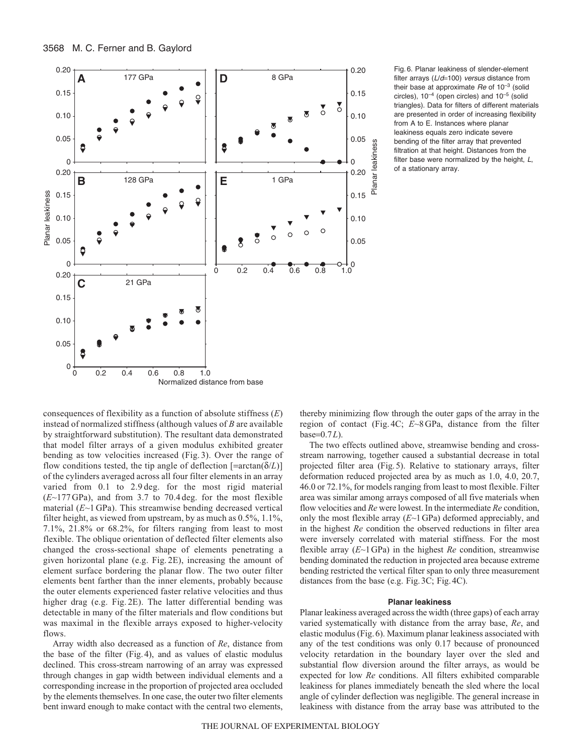



consequences of flexibility as a function of absolute stiffness (*E*) instead of normalized stiffness (although values of *B* are available by straightforward substitution). The resultant data demonstrated that model filter arrays of a given modulus exhibited greater bending as tow velocities increased (Fig. 3). Over the range of flow conditions tested, the tip angle of deflection [=arctan(δ/*L*)] of the cylinders averaged across all four filter elements in an array varied from 0.1 to 2.9 deg. for the most rigid material (*E*~177 GPa), and from 3.7 to 70.4 deg. for the most flexible material (*E*~1 GPa). This streamwise bending decreased vertical filter height, as viewed from upstream, by as much as 0.5%, 1.1%, 7.1%, 21.8% or 68.2%, for filters ranging from least to most flexible. The oblique orientation of deflected filter elements also changed the cross-sectional shape of elements penetrating a given horizontal plane (e.g. Fig. 2E), increasing the amount of element surface bordering the planar flow. The two outer filter elements bent farther than the inner elements, probably because the outer elements experienced faster relative velocities and thus higher drag (e.g. Fig. 2E). The latter differential bending was detectable in many of the filter materials and flow conditions but was maximal in the flexible arrays exposed to higher-velocity flows.

Array width also decreased as a function of *Re*, distance from the base of the filter (Fig.4), and as values of elastic modulus declined. This cross-stream narrowing of an array was expressed through changes in gap width between individual elements and a corresponding increase in the proportion of projected area occluded by the elements themselves. In one case, the outer two filter elements bent inward enough to make contact with the central two elements, thereby minimizing flow through the outer gaps of the array in the region of contact (Fig. 4C; *E*~8 GPa, distance from the filter base=0.7*L*).

The two effects outlined above, streamwise bending and crossstream narrowing, together caused a substantial decrease in total projected filter area (Fig.5). Relative to stationary arrays, filter deformation reduced projected area by as much as 1.0, 4.0, 20.7, 46.0 or 72.1%, for models ranging from least to most flexible. Filter area was similar among arrays composed of all five materials when flow velocities and *Re* were lowest. In the intermediate *Re* condition, only the most flexible array (*E*~1GPa) deformed appreciably, and in the highest *Re* condition the observed reductions in filter area were inversely correlated with material stiffness. For the most flexible array (*E*~1GPa) in the highest *Re* condition, streamwise bending dominated the reduction in projected area because extreme bending restricted the vertical filter span to only three measurement distances from the base (e.g. Fig.3C; Fig.4C).

#### **Planar leakiness**

Planar leakiness averaged across the width (three gaps) of each array varied systematically with distance from the array base, *Re*, and elastic modulus (Fig.6). Maximum planar leakiness associated with any of the test conditions was only 0.17 because of pronounced velocity retardation in the boundary layer over the sled and substantial flow diversion around the filter arrays, as would be expected for low *Re* conditions. All filters exhibited comparable leakiness for planes immediately beneath the sled where the local angle of cylinder deflection was negligible. The general increase in leakiness with distance from the array base was attributed to the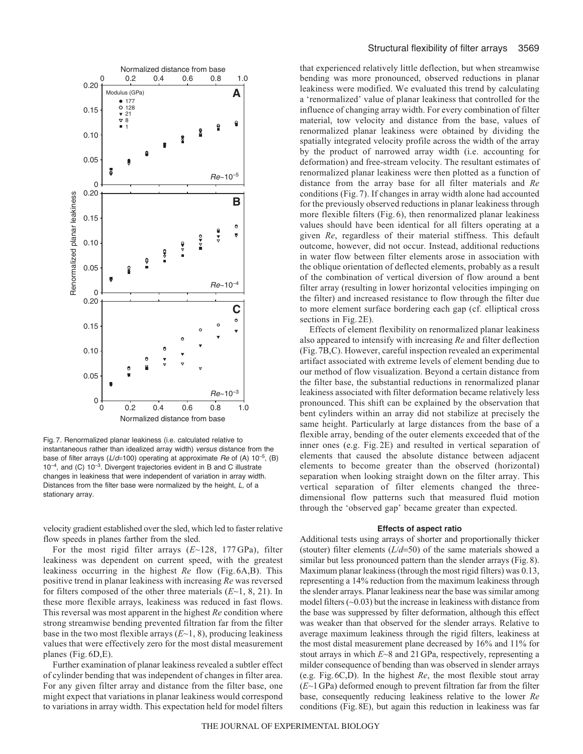

Fig. 7. Renormalized planar leakiness (i.e. calculated relative to instantaneous rather than idealized array width) versus distance from the base of filter arrays ( $L/d=100$ ) operating at approximate Re of (A)  $10^{-5}$ , (B) 10–4, and (C) 10–3. Divergent trajectories evident in B and C illustrate changes in leakiness that were independent of variation in array width. Distances from the filter base were normalized by the height, L, of a stationary array.

velocity gradient established over the sled, which led to faster relative flow speeds in planes farther from the sled.

For the most rigid filter arrays (*E*~128, 177 GPa), filter leakiness was dependent on current speed, with the greatest leakiness occurring in the highest *Re* flow (Fig.6A,B). This positive trend in planar leakiness with increasing *Re* was reversed for filters composed of the other three materials (*E*~1, 8, 21). In these more flexible arrays, leakiness was reduced in fast flows. This reversal was most apparent in the highest *Re* condition where strong streamwise bending prevented filtration far from the filter base in the two most flexible arrays (*E*~1, 8), producing leakiness values that were effectively zero for the most distal measurement planes (Fig.6D,E).

Further examination of planar leakiness revealed a subtler effect of cylinder bending that was independent of changes in filter area. For any given filter array and distance from the filter base, one might expect that variations in planar leakiness would correspond to variations in array width. This expectation held for model filters that experienced relatively little deflection, but when streamwise bending was more pronounced, observed reductions in planar leakiness were modified. We evaluated this trend by calculating a 'renormalized' value of planar leakiness that controlled for the influence of changing array width. For every combination of filter material, tow velocity and distance from the base, values of renormalized planar leakiness were obtained by dividing the spatially integrated velocity profile across the width of the array by the product of narrowed array width (i.e. accounting for deformation) and free-stream velocity. The resultant estimates of renormalized planar leakiness were then plotted as a function of distance from the array base for all filter materials and *Re* conditions (Fig.7). If changes in array width alone had accounted for the previously observed reductions in planar leakiness through more flexible filters (Fig.6), then renormalized planar leakiness values should have been identical for all filters operating at a given *Re*, regardless of their material stiffness. This default outcome, however, did not occur. Instead, additional reductions in water flow between filter elements arose in association with the oblique orientation of deflected elements, probably as a result of the combination of vertical diversion of flow around a bent filter array (resulting in lower horizontal velocities impinging on the filter) and increased resistance to flow through the filter due to more element surface bordering each gap (cf. elliptical cross sections in Fig.2E).

Effects of element flexibility on renormalized planar leakiness also appeared to intensify with increasing *Re* and filter deflection (Fig. 7B,C). However, careful inspection revealed an experimental artifact associated with extreme levels of element bending due to our method of flow visualization. Beyond a certain distance from the filter base, the substantial reductions in renormalized planar leakiness associated with filter deformation became relatively less pronounced. This shift can be explained by the observation that bent cylinders within an array did not stabilize at precisely the same height. Particularly at large distances from the base of a flexible array, bending of the outer elements exceeded that of the inner ones (e.g. Fig. 2E) and resulted in vertical separation of elements that caused the absolute distance between adjacent elements to become greater than the observed (horizontal) separation when looking straight down on the filter array. This vertical separation of filter elements changed the threedimensional flow patterns such that measured fluid motion through the 'observed gap' became greater than expected.

#### **Effects of aspect ratio**

Additional tests using arrays of shorter and proportionally thicker (stouter) filter elements (*L*/*d*=50) of the same materials showed a similar but less pronounced pattern than the slender arrays (Fig.8). Maximum planar leakiness (through the most rigid filters) was 0.13, representing a 14% reduction from the maximum leakiness through the slender arrays. Planar leakiness near the base was similar among model filters  $(\sim 0.03)$  but the increase in leakiness with distance from the base was suppressed by filter deformation, although this effect was weaker than that observed for the slender arrays. Relative to average maximum leakiness through the rigid filters, leakiness at the most distal measurement plane decreased by 16% and 11% for stout arrays in which *E*~8 and 21GPa, respectively, representing a milder consequence of bending than was observed in slender arrays (e.g. Fig.6C,D). In the highest *Re*, the most flexible stout array (*E*~1GPa) deformed enough to prevent filtration far from the filter base, consequently reducing leakiness relative to the lower *Re* conditions (Fig.8E), but again this reduction in leakiness was far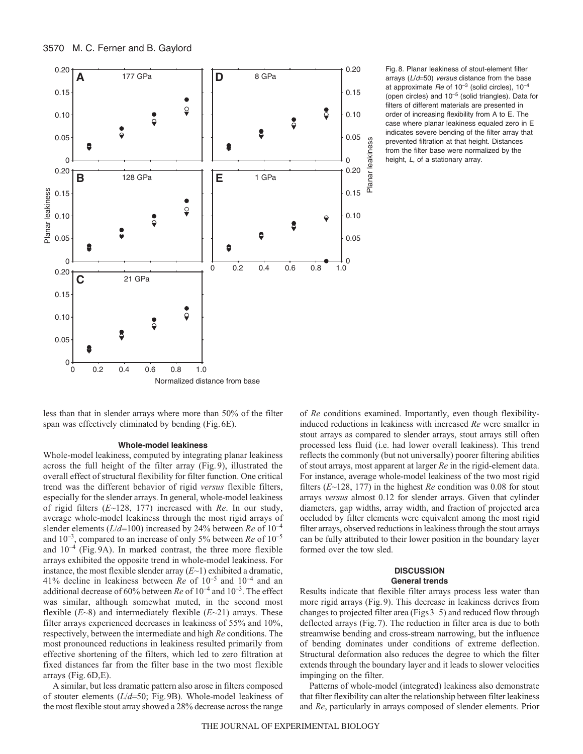

Fig. 8. Planar leakiness of stout-element filter arrays (L/d=50) versus distance from the base at approximate Re of  $10^{-3}$  (solid circles),  $10^{-4}$ (open circles) and  $10^{-5}$  (solid triangles). Data for filters of different materials are presented in order of increasing flexibility from A to E. The case where planar leakiness equaled zero in E indicates severe bending of the filter array that prevented filtration at that height. Distances from the filter base were normalized by the height, L, of a stationary array.

less than that in slender arrays where more than 50% of the filter span was effectively eliminated by bending (Fig.6E).

### **Whole-model leakiness**

Whole-model leakiness, computed by integrating planar leakiness across the full height of the filter array (Fig.9), illustrated the overall effect of structural flexibility for filter function. One critical trend was the different behavior of rigid *versus* flexible filters, especially for the slender arrays. In general, whole-model leakiness of rigid filters (*E*~128, 177) increased with *Re*. In our study, average whole-model leakiness through the most rigid arrays of slender elements (*L*/*d*=100) increased by 24% between *Re* of 10–4 and 10–3, compared to an increase of only 5% between *Re* of 10–5 and  $10^{-4}$  (Fig. 9A). In marked contrast, the three more flexible arrays exhibited the opposite trend in whole-model leakiness. For instance, the most flexible slender array (*E*~1) exhibited a dramatic, 41% decline in leakiness between *Re* of 10–5 and 10–4 and an additional decrease of 60% between *Re* of 10–4 and 10–3. The effect was similar, although somewhat muted, in the second most flexible  $(E~8)$  and intermediately flexible  $(E~21)$  arrays. These filter arrays experienced decreases in leakiness of 55% and 10%, respectively, between the intermediate and high *Re* conditions. The most pronounced reductions in leakiness resulted primarily from effective shortening of the filters, which led to zero filtration at fixed distances far from the filter base in the two most flexible arrays (Fig.6D,E).

A similar, but less dramatic pattern also arose in filters composed of stouter elements (*L*/*d*=50; Fig.9B). Whole-model leakiness of the most flexible stout array showed a 28% decrease across the range

of *Re* conditions examined. Importantly, even though flexibilityinduced reductions in leakiness with increased *Re* were smaller in stout arrays as compared to slender arrays, stout arrays still often processed less fluid (i.e. had lower overall leakiness). This trend reflects the commonly (but not universally) poorer filtering abilities of stout arrays, most apparent at larger *Re* in the rigid-element data. For instance, average whole-model leakiness of the two most rigid filters (*E*~128, 177) in the highest *Re* condition was 0.08 for stout arrays *versus* almost 0.12 for slender arrays. Given that cylinder diameters, gap widths, array width, and fraction of projected area occluded by filter elements were equivalent among the most rigid filter arrays, observed reductions in leakiness through the stout arrays can be fully attributed to their lower position in the boundary layer formed over the tow sled.

### **DISCUSSION General trends**

Results indicate that flexible filter arrays process less water than more rigid arrays (Fig.9). This decrease in leakiness derives from changes to projected filter area (Figs3–5) and reduced flow through deflected arrays (Fig.7). The reduction in filter area is due to both streamwise bending and cross-stream narrowing, but the influence of bending dominates under conditions of extreme deflection. Structural deformation also reduces the degree to which the filter extends through the boundary layer and it leads to slower velocities impinging on the filter.

Patterns of whole-model (integrated) leakiness also demonstrate that filter flexibility can alter the relationship between filter leakiness and *Re*, particularly in arrays composed of slender elements. Prior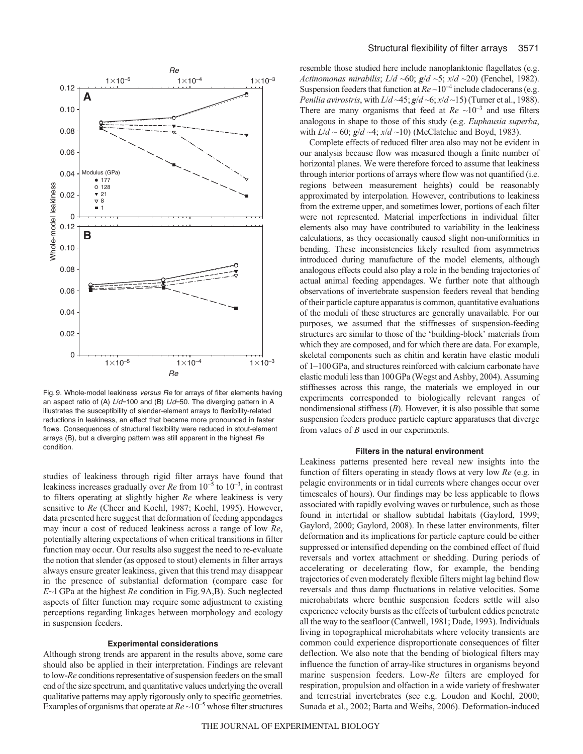

Fig. 9. Whole-model leakiness versus Re for arrays of filter elements having an aspect ratio of (A)  $L/d=100$  and (B)  $L/d=50$ . The diverging pattern in A illustrates the susceptibility of slender-element arrays to flexibility-related reductions in leakiness, an effect that became more pronounced in faster flows. Consequences of structural flexibility were reduced in stout-element arrays (B), but a diverging pattern was still apparent in the highest Re condition.

studies of leakiness through rigid filter arrays have found that leakiness increases gradually over *Re* from  $10^{-5}$  to  $10^{-3}$ , in contrast to filters operating at slightly higher *Re* where leakiness is very sensitive to *Re* (Cheer and Koehl, 1987; Koehl, 1995). However, data presented here suggest that deformation of feeding appendages may incur a cost of reduced leakiness across a range of low *Re*, potentially altering expectations of when critical transitions in filter function may occur. Our results also suggest the need to re-evaluate the notion that slender (as opposed to stout) elements in filter arrays always ensure greater leakiness, given that this trend may disappear in the presence of substantial deformation (compare case for *E*~1GPa at the highest *Re* condition in Fig.9A,B). Such neglected aspects of filter function may require some adjustment to existing perceptions regarding linkages between morphology and ecology in suspension feeders.

### **Experimental considerations**

Although strong trends are apparent in the results above, some care should also be applied in their interpretation. Findings are relevant to low-*Re* conditions representative of suspension feeders on the small end of the size spectrum, and quantitative values underlying the overall qualitative patterns may apply rigorously only to specific geometries. Examples of organisms that operate at  $Re \sim 10^{-5}$  whose filter structures resemble those studied here include nanoplanktonic flagellates (e.g. *Actinomonas mirabilis*; *L*/*<sup>d</sup>* ~60; *g*/*<sup>d</sup>* ~5; *x*/*<sup>d</sup>* ~20) (Fenchel, 1982). Suspension feeders that function at  $Re \sim 10^{-4}$  include cladocerans (e.g. *Penilia avirostris*, with *L*/*<sup>d</sup>* ~45; *g*/*<sup>d</sup>* ~6; *x*/*<sup>d</sup>* ~15) (Turner et al., 1988). There are many organisms that feed at  $Re \sim 10^{-3}$  and use filters analogous in shape to those of this study (e.g. *Euphausia superba*, with  $L/d \sim 60$ ;  $g/d \sim 4$ ;  $x/d \sim 10$ ) (McClatchie and Boyd, 1983).

Complete effects of reduced filter area also may not be evident in our analysis because flow was measured though a finite number of horizontal planes. We were therefore forced to assume that leakiness through interior portions of arrays where flow was not quantified (i.e. regions between measurement heights) could be reasonably approximated by interpolation. However, contributions to leakiness from the extreme upper, and sometimes lower, portions of each filter were not represented. Material imperfections in individual filter elements also may have contributed to variability in the leakiness calculations, as they occasionally caused slight non-uniformities in bending. These inconsistencies likely resulted from asymmetries introduced during manufacture of the model elements, although analogous effects could also play a role in the bending trajectories of actual animal feeding appendages. We further note that although observations of invertebrate suspension feeders reveal that bending of their particle capture apparatus is common, quantitative evaluations of the moduli of these structures are generally unavailable. For our purposes, we assumed that the stiffnesses of suspension-feeding structures are similar to those of the 'building-block' materials from which they are composed, and for which there are data. For example, skeletal components such as chitin and keratin have elastic moduli of 1–100GPa, and structures reinforced with calcium carbonate have elastic moduli less than 100GPa (Wegst and Ashby, 2004). Assuming stiffnesses across this range, the materials we employed in our experiments corresponded to biologically relevant ranges of nondimensional stiffness (*B*). However, it is also possible that some suspension feeders produce particle capture apparatuses that diverge from values of *B* used in our experiments.

### **Filters in the natural environment**

Leakiness patterns presented here reveal new insights into the function of filters operating in steady flows at very low *Re* (e.g. in pelagic environments or in tidal currents where changes occur over timescales of hours). Our findings may be less applicable to flows associated with rapidly evolving waves or turbulence, such as those found in intertidal or shallow subtidal habitats (Gaylord, 1999; Gaylord, 2000; Gaylord, 2008). In these latter environments, filter deformation and its implications for particle capture could be either suppressed or intensified depending on the combined effect of fluid reversals and vortex attachment or shedding. During periods of accelerating or decelerating flow, for example, the bending trajectories of even moderately flexible filters might lag behind flow reversals and thus damp fluctuations in relative velocities. Some microhabitats where benthic suspension feeders settle will also experience velocity bursts as the effects of turbulent eddies penetrate all the way to the seafloor (Cantwell, 1981; Dade, 1993). Individuals living in topographical microhabitats where velocity transients are common could experience disproportionate consequences of filter deflection. We also note that the bending of biological filters may influence the function of array-like structures in organisms beyond marine suspension feeders. Low-*Re* filters are employed for respiration, propulsion and olfaction in a wide variety of freshwater and terrestrial invertebrates (see e.g. Loudon and Koehl, 2000; Sunada et al., 2002; Barta and Weihs, 2006). Deformation-induced